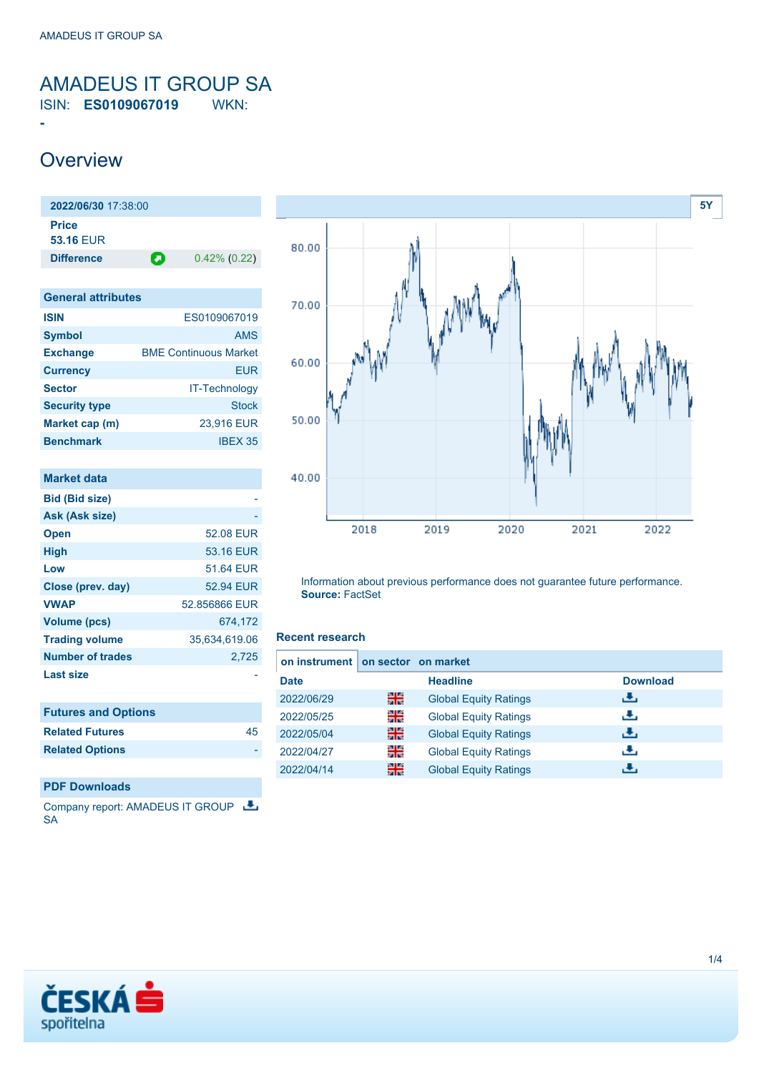### <span id="page-0-0"></span>AMADEUS IT GROUP SA ISIN: **ES0109067019** WKN:

### **Overview**

**-**

**2022/06/30** 17:38:00 **Price 53.16** EUR **Difference 0.42% (0.22)** 

| <b>General attributes</b> |                              |  |  |  |
|---------------------------|------------------------------|--|--|--|
| <b>ISIN</b>               | ES0109067019                 |  |  |  |
| <b>Symbol</b>             | <b>AMS</b>                   |  |  |  |
| <b>Exchange</b>           | <b>BME Continuous Market</b> |  |  |  |
| <b>Currency</b>           | <b>EUR</b>                   |  |  |  |
| <b>Sector</b>             | IT-Technology                |  |  |  |
| <b>Security type</b>      | <b>Stock</b>                 |  |  |  |
| Market cap (m)            | 23,916 EUR                   |  |  |  |
| <b>Benchmark</b>          | <b>IBEX 35</b>               |  |  |  |

| Market data                |               |
|----------------------------|---------------|
| <b>Bid (Bid size)</b>      |               |
| Ask (Ask size)             |               |
| <b>Open</b>                | 52.08 EUR     |
| High                       | 53.16 EUR     |
| Low                        | 51.64 EUR     |
| Close (prev. day)          | 52.94 EUR     |
| <b>VWAP</b>                | 52.856866 EUR |
| Volume (pcs)               | 674.172       |
| <b>Trading volume</b>      | 35,634,619.06 |
| <b>Number of trades</b>    | 2,725         |
| Last size                  |               |
|                            |               |
| <b>Futures and Options</b> |               |

| $\ldots$ at all $\sigma$ and $\sigma$ public $\sigma$ |    |
|-------------------------------------------------------|----|
| <b>Related Futures</b>                                | 45 |
| <b>Related Options</b>                                |    |

**PDF Downloads**

Company report: AMADEUS IT GROUP SA



Information about previous performance does not guarantee future performance. **Source:** FactSet

#### **Recent research**

| on instrument |   | on sector on market          |                 |
|---------------|---|------------------------------|-----------------|
| <b>Date</b>   |   | <b>Headline</b>              | <b>Download</b> |
| 2022/06/29    | 噐 | <b>Global Equity Ratings</b> | رنان            |
| 2022/05/25    | 을 | <b>Global Equity Ratings</b> | æ,              |
| 2022/05/04    | 噐 | <b>Global Equity Ratings</b> | æ,              |
| 2022/04/27    | 을 | <b>Global Equity Ratings</b> | J.              |
| 2022/04/14    | 噐 | <b>Global Equity Ratings</b> |                 |

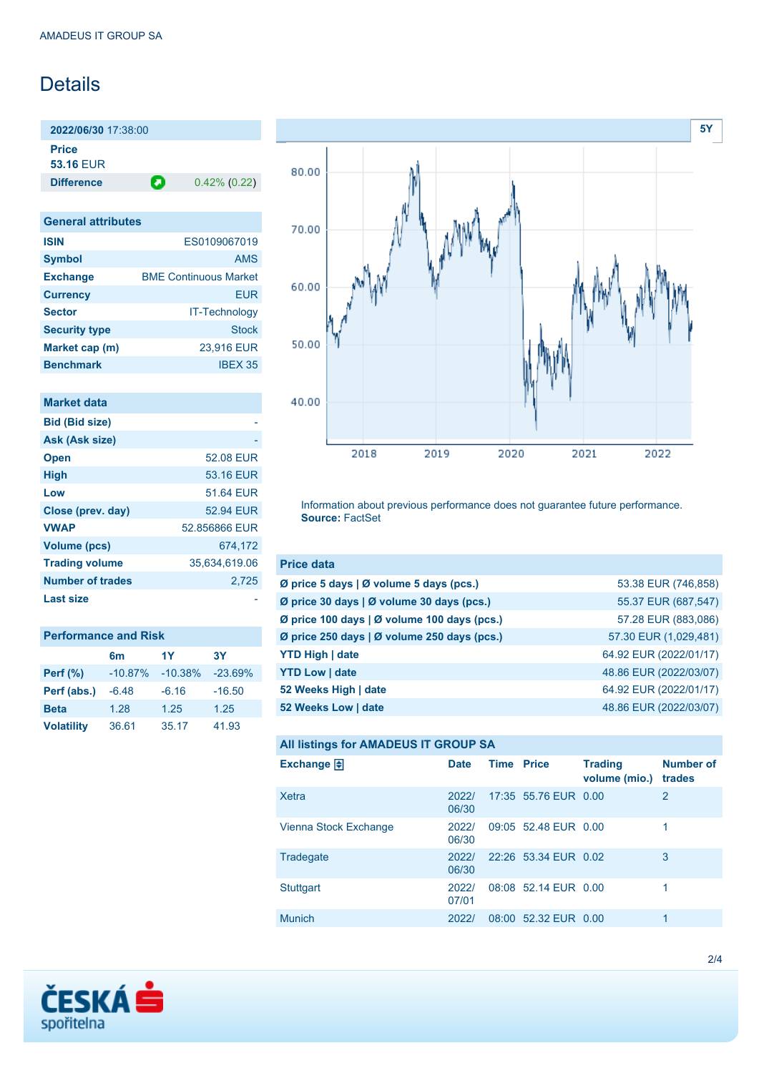## Details

**2022/06/30** 17:38:00 **Price 53.16** EUR

**Difference 0.42% (0.22)** 

| <b>General attributes</b> |                              |  |  |  |
|---------------------------|------------------------------|--|--|--|
| <b>ISIN</b>               | ES0109067019                 |  |  |  |
| <b>Symbol</b>             | <b>AMS</b>                   |  |  |  |
| <b>Exchange</b>           | <b>BME Continuous Market</b> |  |  |  |
| <b>Currency</b>           | <b>EUR</b>                   |  |  |  |
| <b>Sector</b>             | <b>IT-Technology</b>         |  |  |  |
| <b>Security type</b>      | <b>Stock</b>                 |  |  |  |
| Market cap (m)            | 23,916 EUR                   |  |  |  |
| <b>Benchmark</b>          | <b>IBFX 35</b>               |  |  |  |

| Market data             |               |
|-------------------------|---------------|
| <b>Bid (Bid size)</b>   |               |
| Ask (Ask size)          |               |
| <b>Open</b>             | 52.08 EUR     |
| <b>High</b>             | 53.16 EUR     |
| Low                     | 51.64 FUR     |
| Close (prev. day)       | 52.94 FUR     |
| <b>VWAP</b>             | 52.856866 EUR |
| Volume (pcs)            | 674,172       |
| <b>Trading volume</b>   | 35.634.619.06 |
| <b>Number of trades</b> | 2.725         |
| Last size               |               |

| <b>Performance and Risk</b> |           |           |           |  |  |
|-----------------------------|-----------|-----------|-----------|--|--|
|                             | 6m        | 1Y        | 3Υ        |  |  |
| <b>Perf</b> (%)             | $-10.87%$ | $-10.38%$ | $-23.69%$ |  |  |
| Perf (abs.)                 | $-6.48$   | $-6.16$   | $-16.50$  |  |  |
| <b>Beta</b>                 | 1.28      | 1.25      | 1.25      |  |  |
| <b>Volatility</b>           | 36.61     | 35.17     | 41.93     |  |  |



Information about previous performance does not guarantee future performance. **Source:** FactSet

| <b>Price data</b>                                     |                        |
|-------------------------------------------------------|------------------------|
| Ø price 5 days $\vert \emptyset$ volume 5 days (pcs.) | 53.38 EUR (746,858)    |
| Ø price 30 days   Ø volume 30 days (pcs.)             | 55.37 EUR (687,547)    |
| Ø price 100 days   Ø volume 100 days (pcs.)           | 57.28 EUR (883,086)    |
| Ø price 250 days   Ø volume 250 days (pcs.)           | 57.30 EUR (1,029,481)  |
| <b>YTD High   date</b>                                | 64.92 EUR (2022/01/17) |
| <b>YTD Low   date</b>                                 | 48.86 EUR (2022/03/07) |
| 52 Weeks High   date                                  | 64.92 EUR (2022/01/17) |
| 52 Weeks Low   date                                   | 48.86 EUR (2022/03/07) |

### **All listings for AMADEUS IT GROUP SA**

| Exchange $\Box$       | <b>Date</b>    | <b>Time Price</b> |                      | <b>Trading</b><br>volume (mio.) | <b>Number of</b><br>trades |
|-----------------------|----------------|-------------------|----------------------|---------------------------------|----------------------------|
| Xetra                 | 2022/<br>06/30 |                   | 17:35 55.76 EUR 0.00 |                                 | 2                          |
| Vienna Stock Exchange | 2022/<br>06/30 |                   | 09:05 52.48 EUR 0.00 |                                 |                            |
| Tradegate             | 2022/<br>06/30 |                   | 22:26 53.34 EUR 0.02 |                                 | 3                          |
| Stuttgart             | 2022/<br>07/01 |                   | 08:08 52.14 EUR 0.00 |                                 | 1                          |
| <b>Munich</b>         | 2022/          |                   | 08:00 52.32 EUR 0.00 |                                 | 1                          |

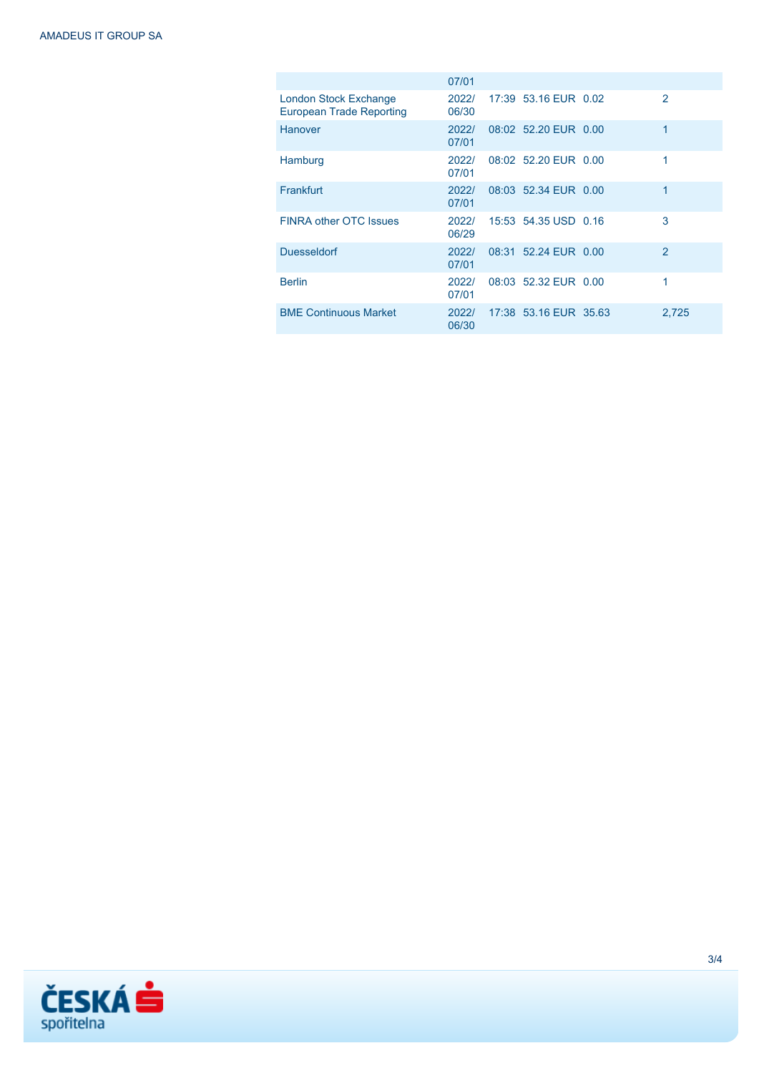|                                                          | 07/01          |                       |               |
|----------------------------------------------------------|----------------|-----------------------|---------------|
| London Stock Exchange<br><b>European Trade Reporting</b> | 2022/<br>06/30 | 17:39 53.16 EUR 0.02  | $\mathcal{P}$ |
| Hanover                                                  | 2022/<br>07/01 | 08:02 52.20 EUR 0.00  | 1             |
| Hamburg                                                  | 2022/<br>07/01 | 08:02 52.20 EUR 0.00  | 1             |
| Frankfurt                                                | 2022/<br>07/01 | 08:03 52.34 EUR 0.00  | 1             |
| <b>FINRA other OTC Issues</b>                            | 2022/<br>06/29 | 15:53 54.35 USD 0.16  | 3             |
| <b>Duesseldorf</b>                                       | 2022/<br>07/01 | 08:31 52.24 EUR 0.00  | 2             |
| <b>Berlin</b>                                            | 2022/<br>07/01 | 08:03 52.32 EUR 0.00  | 1             |
| <b>BME Continuous Market</b>                             | 2022/<br>06/30 | 17:38 53.16 EUR 35.63 | 2,725         |